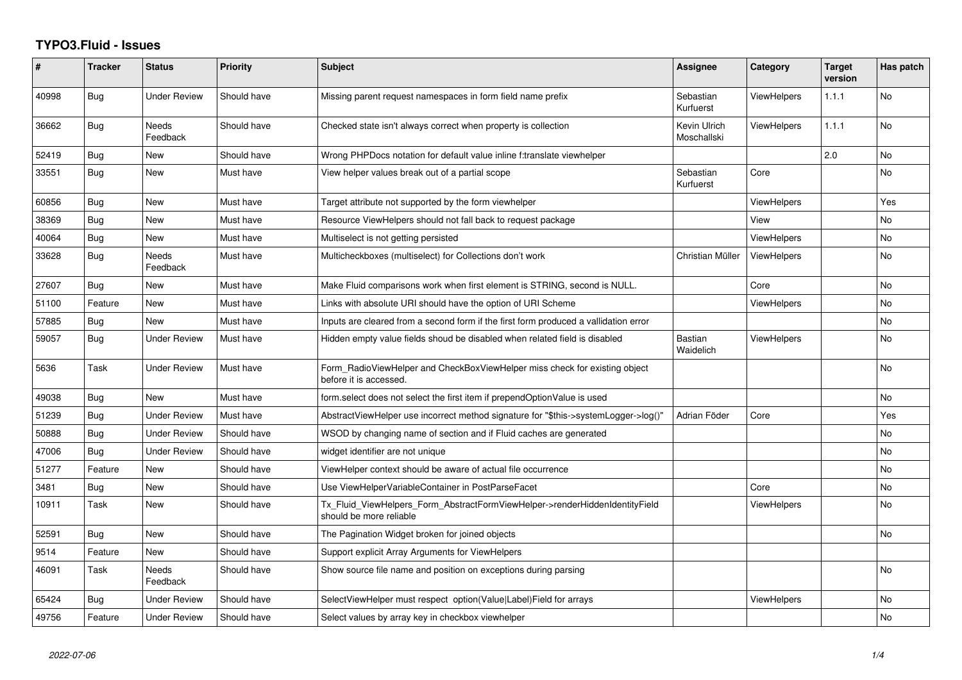## **TYPO3.Fluid - Issues**

| ∦     | <b>Tracker</b> | <b>Status</b>            | <b>Priority</b> | Subject                                                                                                | Assignee                    | Category           | <b>Target</b><br>version | Has patch      |
|-------|----------------|--------------------------|-----------------|--------------------------------------------------------------------------------------------------------|-----------------------------|--------------------|--------------------------|----------------|
| 40998 | <b>Bug</b>     | <b>Under Review</b>      | Should have     | Missing parent request namespaces in form field name prefix                                            | Sebastian<br>Kurfuerst      | <b>ViewHelpers</b> | 1.1.1                    | No             |
| 36662 | Bug            | <b>Needs</b><br>Feedback | Should have     | Checked state isn't always correct when property is collection                                         | Kevin Ulrich<br>Moschallski | <b>ViewHelpers</b> | 1.1.1                    | No             |
| 52419 | Bug            | New                      | Should have     | Wrong PHPDocs notation for default value inline f:translate viewhelper                                 |                             |                    | 2.0                      | No             |
| 33551 | Bug            | New                      | Must have       | View helper values break out of a partial scope                                                        | Sebastian<br>Kurfuerst      | Core               |                          | No             |
| 60856 | Bug            | <b>New</b>               | Must have       | Target attribute not supported by the form viewhelper                                                  |                             | <b>ViewHelpers</b> |                          | Yes            |
| 38369 | <b>Bug</b>     | New                      | Must have       | Resource ViewHelpers should not fall back to request package                                           |                             | View               |                          | No.            |
| 40064 | Bug            | New                      | Must have       | Multiselect is not getting persisted                                                                   |                             | ViewHelpers        |                          | No             |
| 33628 | Bug            | <b>Needs</b><br>Feedback | Must have       | Multicheckboxes (multiselect) for Collections don't work                                               | Christian Müller            | <b>ViewHelpers</b> |                          | No.            |
| 27607 | Bug            | New                      | Must have       | Make Fluid comparisons work when first element is STRING, second is NULL.                              |                             | Core               |                          | No             |
| 51100 | Feature        | New                      | Must have       | Links with absolute URI should have the option of URI Scheme                                           |                             | ViewHelpers        |                          | No             |
| 57885 | <b>Bug</b>     | New                      | Must have       | Inputs are cleared from a second form if the first form produced a vallidation error                   |                             |                    |                          | No             |
| 59057 | Bug            | <b>Under Review</b>      | Must have       | Hidden empty value fields shoud be disabled when related field is disabled                             | <b>Bastian</b><br>Waidelich | ViewHelpers        |                          | No             |
| 5636  | Task           | <b>Under Review</b>      | Must have       | Form_RadioViewHelper and CheckBoxViewHelper miss check for existing object<br>before it is accessed.   |                             |                    |                          | No             |
| 49038 | Bug            | <b>New</b>               | Must have       | form.select does not select the first item if prependOptionValue is used                               |                             |                    |                          | N <sub>o</sub> |
| 51239 | Bug            | <b>Under Review</b>      | Must have       | AbstractViewHelper use incorrect method signature for "\$this->systemLogger->log()"                    | Adrian Föder                | Core               |                          | Yes            |
| 50888 | Bug            | <b>Under Review</b>      | Should have     | WSOD by changing name of section and if Fluid caches are generated                                     |                             |                    |                          | No             |
| 47006 | Bug            | <b>Under Review</b>      | Should have     | widget identifier are not unique                                                                       |                             |                    |                          | No             |
| 51277 | Feature        | New                      | Should have     | ViewHelper context should be aware of actual file occurrence                                           |                             |                    |                          | No             |
| 3481  | <b>Bug</b>     | New                      | Should have     | Use ViewHelperVariableContainer in PostParseFacet                                                      |                             | Core               |                          | No             |
| 10911 | Task           | New                      | Should have     | Tx_Fluid_ViewHelpers_Form_AbstractFormViewHelper->renderHiddenIdentityField<br>should be more reliable |                             | <b>ViewHelpers</b> |                          | No             |
| 52591 | Bug            | New                      | Should have     | The Pagination Widget broken for joined objects                                                        |                             |                    |                          | N <sub>o</sub> |
| 9514  | Feature        | <b>New</b>               | Should have     | Support explicit Array Arguments for ViewHelpers                                                       |                             |                    |                          |                |
| 46091 | Task           | Needs<br>Feedback        | Should have     | Show source file name and position on exceptions during parsing                                        |                             |                    |                          | No             |
| 65424 | Bug            | <b>Under Review</b>      | Should have     | SelectViewHelper must respect option(Value Label)Field for arrays                                      |                             | <b>ViewHelpers</b> |                          | No.            |
| 49756 | Feature        | <b>Under Review</b>      | Should have     | Select values by array key in checkbox viewhelper                                                      |                             |                    |                          | No.            |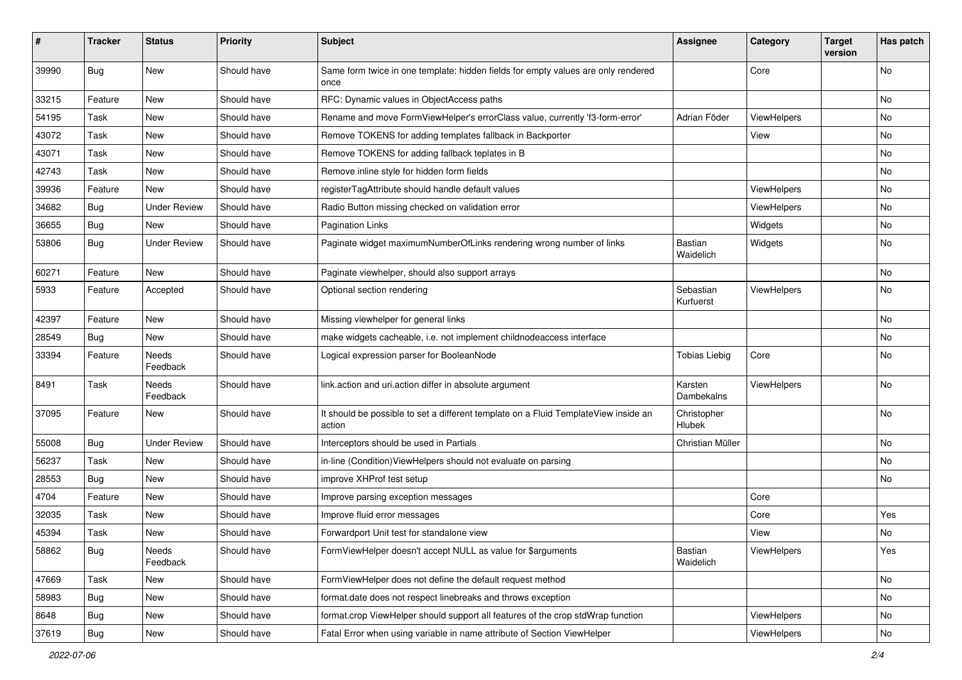| ∦     | <b>Tracker</b> | <b>Status</b>            | <b>Priority</b> | <b>Subject</b>                                                                                | <b>Assignee</b>              | Category    | <b>Target</b><br>version | Has patch |
|-------|----------------|--------------------------|-----------------|-----------------------------------------------------------------------------------------------|------------------------------|-------------|--------------------------|-----------|
| 39990 | Bug            | New                      | Should have     | Same form twice in one template: hidden fields for empty values are only rendered<br>once     |                              | Core        |                          | No        |
| 33215 | Feature        | New                      | Should have     | RFC: Dynamic values in ObjectAccess paths                                                     |                              |             |                          | No        |
| 54195 | Task           | <b>New</b>               | Should have     | Rename and move FormViewHelper's errorClass value, currently 'f3-form-error'                  | Adrian Föder                 | ViewHelpers |                          | No        |
| 43072 | Task           | New                      | Should have     | Remove TOKENS for adding templates fallback in Backporter                                     |                              | View        |                          | No        |
| 43071 | Task           | New                      | Should have     | Remove TOKENS for adding fallback teplates in B                                               |                              |             |                          | No        |
| 42743 | Task           | New                      | Should have     | Remove inline style for hidden form fields                                                    |                              |             |                          | No        |
| 39936 | Feature        | New                      | Should have     | registerTagAttribute should handle default values                                             |                              | ViewHelpers |                          | No        |
| 34682 | Bug            | <b>Under Review</b>      | Should have     | Radio Button missing checked on validation error                                              |                              | ViewHelpers |                          | No        |
| 36655 | Bug            | New                      | Should have     | <b>Pagination Links</b>                                                                       |                              | Widgets     |                          | No        |
| 53806 | Bug            | <b>Under Review</b>      | Should have     | Paginate widget maximumNumberOfLinks rendering wrong number of links                          | <b>Bastian</b><br>Waidelich  | Widgets     |                          | No        |
| 60271 | Feature        | <b>New</b>               | Should have     | Paginate viewhelper, should also support arrays                                               |                              |             |                          | No        |
| 5933  | Feature        | Accepted                 | Should have     | Optional section rendering                                                                    | Sebastian<br>Kurfuerst       | ViewHelpers |                          | No        |
| 42397 | Feature        | <b>New</b>               | Should have     | Missing viewhelper for general links                                                          |                              |             |                          | No        |
| 28549 | Bug            | New                      | Should have     | make widgets cacheable, i.e. not implement childnodeaccess interface                          |                              |             |                          | No        |
| 33394 | Feature        | Needs<br>Feedback        | Should have     | Logical expression parser for BooleanNode                                                     | <b>Tobias Liebig</b>         | Core        |                          | No        |
| 8491  | Task           | <b>Needs</b><br>Feedback | Should have     | link.action and uri.action differ in absolute argument                                        | Karsten<br>Dambekalns        | ViewHelpers |                          | No        |
| 37095 | Feature        | New                      | Should have     | It should be possible to set a different template on a Fluid TemplateView inside an<br>action | Christopher<br><b>Hlubek</b> |             |                          | No        |
| 55008 | <b>Bug</b>     | <b>Under Review</b>      | Should have     | Interceptors should be used in Partials                                                       | Christian Müller             |             |                          | No        |
| 56237 | Task           | <b>New</b>               | Should have     | in-line (Condition)ViewHelpers should not evaluate on parsing                                 |                              |             |                          | No        |
| 28553 | Bug            | New                      | Should have     | improve XHProf test setup                                                                     |                              |             |                          | No        |
| 4704  | Feature        | New                      | Should have     | Improve parsing exception messages                                                            |                              | Core        |                          |           |
| 32035 | Task           | New                      | Should have     | Improve fluid error messages                                                                  |                              | Core        |                          | Yes       |
| 45394 | Task           | New                      | Should have     | Forwardport Unit test for standalone view                                                     |                              | View        |                          | No        |
| 58862 | <b>Bug</b>     | Needs<br>Feedback        | Should have     | FormViewHelper doesn't accept NULL as value for \$arguments                                   | Bastian<br>Waidelich         | ViewHelpers |                          | Yes       |
| 47669 | Task           | New                      | Should have     | FormViewHelper does not define the default request method                                     |                              |             |                          | No        |
| 58983 | <b>Bug</b>     | New                      | Should have     | format.date does not respect linebreaks and throws exception                                  |                              |             |                          | No        |
| 8648  | <b>Bug</b>     | New                      | Should have     | format.crop ViewHelper should support all features of the crop stdWrap function               |                              | ViewHelpers |                          | No        |
| 37619 | <b>Bug</b>     | New                      | Should have     | Fatal Error when using variable in name attribute of Section ViewHelper                       |                              | ViewHelpers |                          | No        |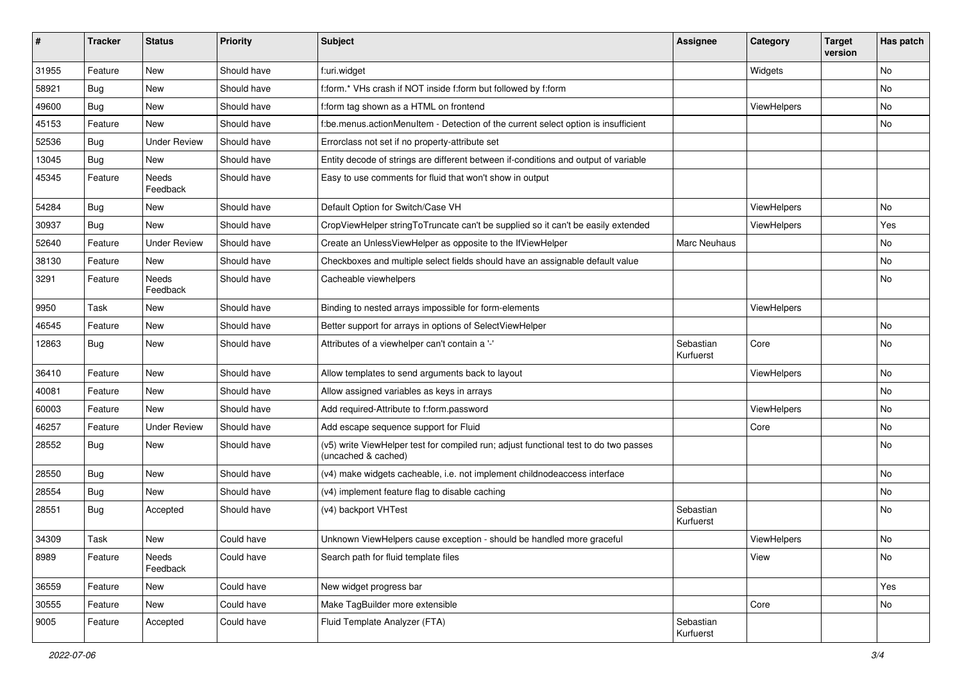| ∦     | <b>Tracker</b> | <b>Status</b>       | <b>Priority</b> | <b>Subject</b>                                                                                              | <b>Assignee</b>        | Category    | <b>Target</b><br>version | Has patch |
|-------|----------------|---------------------|-----------------|-------------------------------------------------------------------------------------------------------------|------------------------|-------------|--------------------------|-----------|
| 31955 | Feature        | New                 | Should have     | f:uri.widget                                                                                                |                        | Widgets     |                          | No        |
| 58921 | Bug            | New                 | Should have     | f:form.* VHs crash if NOT inside f:form but followed by f:form                                              |                        |             |                          | No        |
| 49600 | Bug            | New                 | Should have     | f:form tag shown as a HTML on frontend                                                                      |                        | ViewHelpers |                          | No        |
| 45153 | Feature        | <b>New</b>          | Should have     | f:be.menus.actionMenuItem - Detection of the current select option is insufficient                          |                        |             |                          | No        |
| 52536 | Bug            | <b>Under Review</b> | Should have     | Errorclass not set if no property-attribute set                                                             |                        |             |                          |           |
| 13045 | Bug            | <b>New</b>          | Should have     | Entity decode of strings are different between if-conditions and output of variable                         |                        |             |                          |           |
| 45345 | Feature        | Needs<br>Feedback   | Should have     | Easy to use comments for fluid that won't show in output                                                    |                        |             |                          |           |
| 54284 | Bug            | New                 | Should have     | Default Option for Switch/Case VH                                                                           |                        | ViewHelpers |                          | No        |
| 30937 | Bug            | <b>New</b>          | Should have     | CropViewHelper stringToTruncate can't be supplied so it can't be easily extended                            |                        | ViewHelpers |                          | Yes       |
| 52640 | Feature        | <b>Under Review</b> | Should have     | Create an UnlessViewHelper as opposite to the IfViewHelper                                                  | Marc Neuhaus           |             |                          | No        |
| 38130 | Feature        | New                 | Should have     | Checkboxes and multiple select fields should have an assignable default value                               |                        |             |                          | No        |
| 3291  | Feature        | Needs<br>Feedback   | Should have     | Cacheable viewhelpers                                                                                       |                        |             |                          | No        |
| 9950  | Task           | New                 | Should have     | Binding to nested arrays impossible for form-elements                                                       |                        | ViewHelpers |                          |           |
| 46545 | Feature        | New                 | Should have     | Better support for arrays in options of SelectViewHelper                                                    |                        |             |                          | No        |
| 12863 | Bug            | New                 | Should have     | Attributes of a viewhelper can't contain a '-'                                                              | Sebastian<br>Kurfuerst | Core        |                          | No        |
| 36410 | Feature        | New                 | Should have     | Allow templates to send arguments back to layout                                                            |                        | ViewHelpers |                          | No        |
| 40081 | Feature        | New                 | Should have     | Allow assigned variables as keys in arrays                                                                  |                        |             |                          | No.       |
| 60003 | Feature        | New                 | Should have     | Add required-Attribute to f:form.password                                                                   |                        | ViewHelpers |                          | No        |
| 46257 | Feature        | <b>Under Review</b> | Should have     | Add escape sequence support for Fluid                                                                       |                        | Core        |                          | No.       |
| 28552 | Bug            | New                 | Should have     | (v5) write ViewHelper test for compiled run; adjust functional test to do two passes<br>(uncached & cached) |                        |             |                          | No        |
| 28550 | Bug            | New                 | Should have     | (v4) make widgets cacheable, i.e. not implement childnodeaccess interface                                   |                        |             |                          | No        |
| 28554 | Bug            | New                 | Should have     | (v4) implement feature flag to disable caching                                                              |                        |             |                          | No        |
| 28551 | Bug            | Accepted            | Should have     | (v4) backport VHTest                                                                                        | Sebastian<br>Kurfuerst |             |                          | No        |
| 34309 | Task           | New                 | Could have      | Unknown ViewHelpers cause exception - should be handled more graceful                                       |                        | ViewHelpers |                          | No        |
| 8989  | Feature        | Needs<br>Feedback   | Could have      | Search path for fluid template files                                                                        |                        | View        |                          | No        |
| 36559 | Feature        | New                 | Could have      | New widget progress bar                                                                                     |                        |             |                          | Yes       |
| 30555 | Feature        | New                 | Could have      | Make TagBuilder more extensible                                                                             |                        | Core        |                          | No        |
| 9005  | Feature        | Accepted            | Could have      | Fluid Template Analyzer (FTA)                                                                               | Sebastian<br>Kurfuerst |             |                          |           |